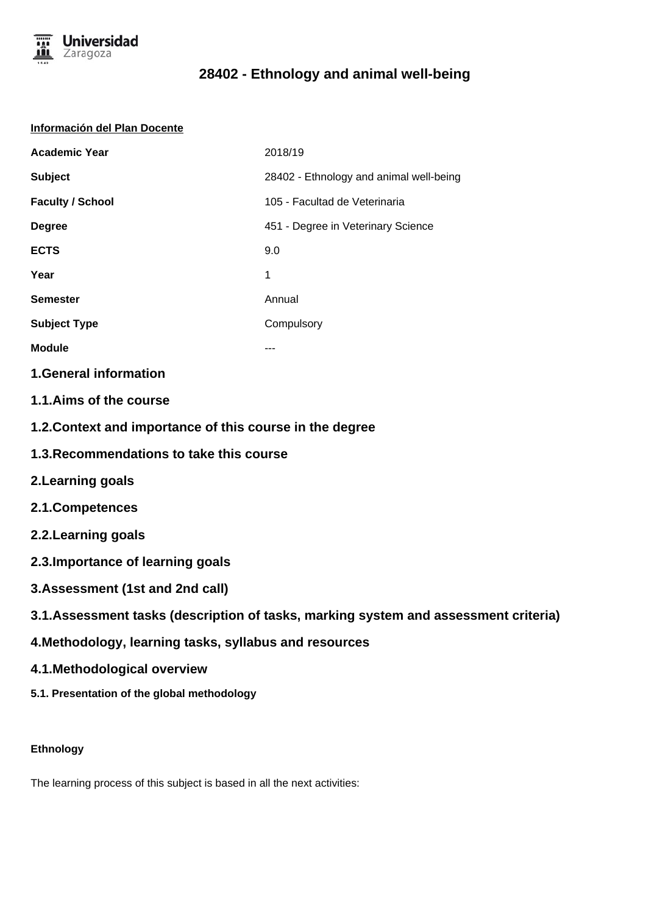

#### **Información del Plan Docente**

| <b>Academic Year</b>    | 2018/19                                 |
|-------------------------|-----------------------------------------|
| <b>Subject</b>          | 28402 - Ethnology and animal well-being |
| <b>Faculty / School</b> | 105 - Facultad de Veterinaria           |
| <b>Degree</b>           | 451 - Degree in Veterinary Science      |
| <b>ECTS</b>             | 9.0                                     |
| Year                    | 1                                       |
| <b>Semester</b>         | Annual                                  |
| <b>Subject Type</b>     | Compulsory                              |
| <b>Module</b>           |                                         |

### **1.General information**

- **1.1.Aims of the course**
- **1.2.Context and importance of this course in the degree**
- **1.3.Recommendations to take this course**
- **2.Learning goals**
- **2.1.Competences**
- **2.2.Learning goals**
- **2.3.Importance of learning goals**
- **3.Assessment (1st and 2nd call)**
- **3.1.Assessment tasks (description of tasks, marking system and assessment criteria)**
- **4.Methodology, learning tasks, syllabus and resources**
- **4.1.Methodological overview**
- **5.1. Presentation of the global methodology**

### **Ethnology**

The learning process of this subject is based in all the next activities: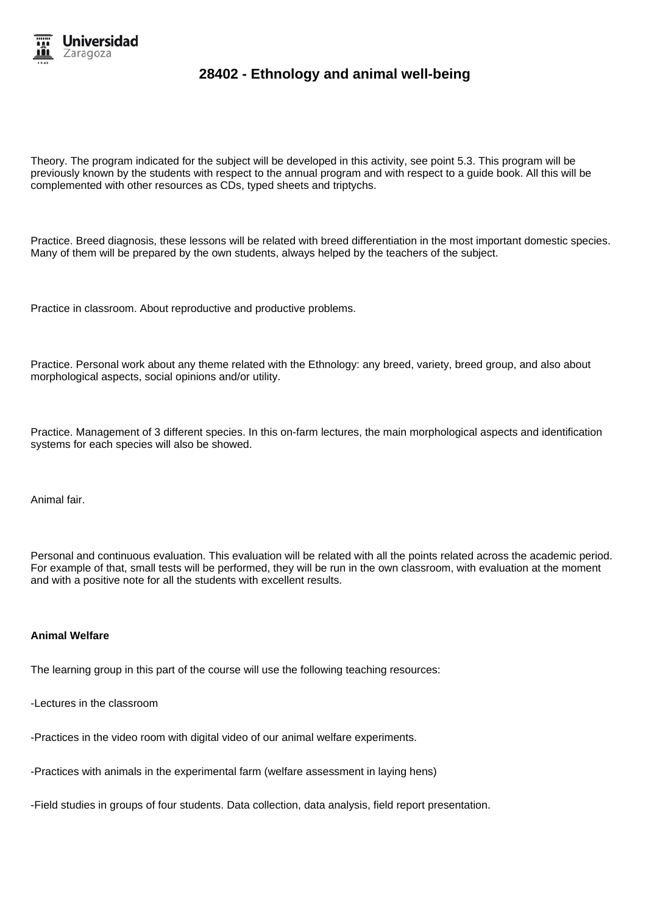

Theory. The program indicated for the subject will be developed in this activity, see point 5.3. This program will be previously known by the students with respect to the annual program and with respect to a guide book. All this will be complemented with other resources as CDs, typed sheets and triptychs.

Practice. Breed diagnosis, these lessons will be related with breed differentiation in the most important domestic species. Many of them will be prepared by the own students, always helped by the teachers of the subject.

Practice in classroom. About reproductive and productive problems.

Practice. Personal work about any theme related with the Ethnology: any breed, variety, breed group, and also about morphological aspects, social opinions and/or utility.

Practice. Management of 3 different species. In this on-farm lectures, the main morphological aspects and identification systems for each species will also be showed.

Animal fair.

Personal and continuous evaluation. This evaluation will be related with all the points related across the academic period. For example of that, small tests will be performed, they will be run in the own classroom, with evaluation at the moment and with a positive note for all the students with excellent results.

#### **Animal Welfare**

The learning group in this part of the course will use the following teaching resources:

-Lectures in the classroom

-Practices in the video room with digital video of our animal welfare experiments.

-Practices with animals in the experimental farm (welfare assessment in laying hens)

-Field studies in groups of four students. Data collection, data analysis, field report presentation.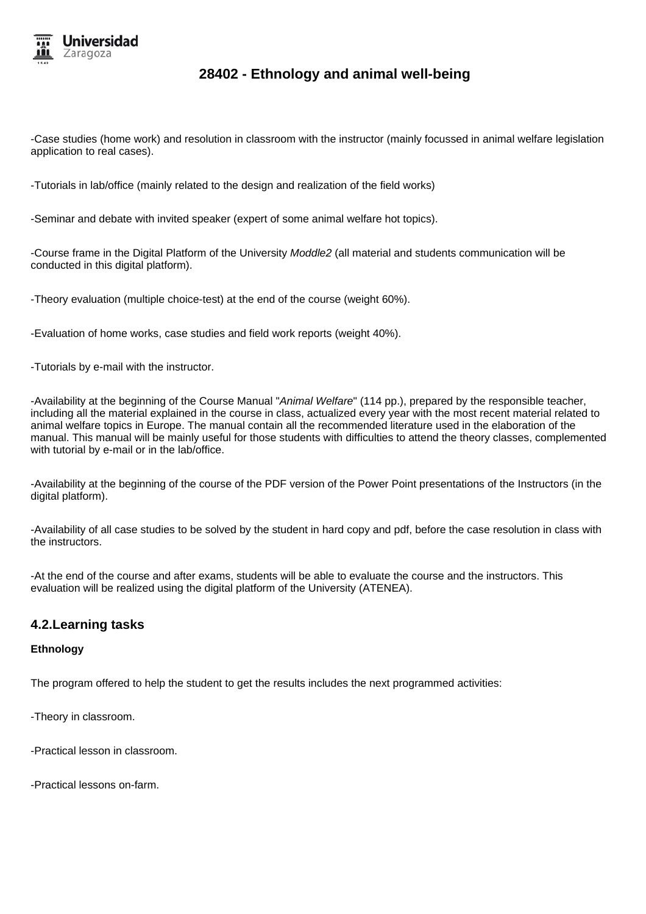

-Case studies (home work) and resolution in classroom with the instructor (mainly focussed in animal welfare legislation application to real cases).

-Tutorials in lab/office (mainly related to the design and realization of the field works)

-Seminar and debate with invited speaker (expert of some animal welfare hot topics).

-Course frame in the Digital Platform of the University Moddle2 (all material and students communication will be conducted in this digital platform).

-Theory evaluation (multiple choice-test) at the end of the course (weight 60%).

-Evaluation of home works, case studies and field work reports (weight 40%).

-Tutorials by e-mail with the instructor.

-Availability at the beginning of the Course Manual "Animal Welfare" (114 pp.), prepared by the responsible teacher, including all the material explained in the course in class, actualized every year with the most recent material related to animal welfare topics in Europe. The manual contain all the recommended literature used in the elaboration of the manual. This manual will be mainly useful for those students with difficulties to attend the theory classes, complemented with tutorial by e-mail or in the lab/office.

-Availability at the beginning of the course of the PDF version of the Power Point presentations of the Instructors (in the digital platform).

-Availability of all case studies to be solved by the student in hard copy and pdf, before the case resolution in class with the instructors.

-At the end of the course and after exams, students will be able to evaluate the course and the instructors. This evaluation will be realized using the digital platform of the University (ATENEA).

### **4.2.Learning tasks**

#### **Ethnology**

The program offered to help the student to get the results includes the next programmed activities:

-Theory in classroom.

-Practical lesson in classroom.

-Practical lessons on-farm.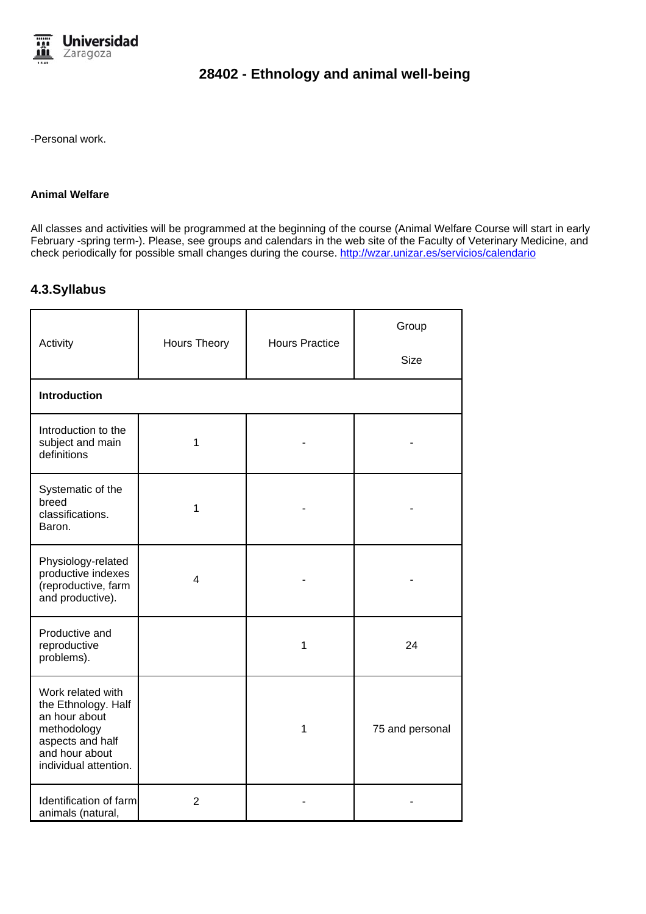

-Personal work.

#### **Animal Welfare**

All classes and activities will be programmed at the beginning of the course (Animal Welfare Course will start in early February -spring term-). Please, see groups and calendars in the web site of the Faculty of Veterinary Medicine, and check periodically for possible small changes during the course. http://wzar.unizar.es/servicios/calendario

### **4.3.Syllabus**

| Activity                                                                                                                                | Hours Theory   | <b>Hours Practice</b> | Group<br><b>Size</b> |
|-----------------------------------------------------------------------------------------------------------------------------------------|----------------|-----------------------|----------------------|
|                                                                                                                                         |                |                       |                      |
| <b>Introduction</b>                                                                                                                     |                |                       |                      |
| Introduction to the<br>subject and main<br>definitions                                                                                  | 1              |                       |                      |
| Systematic of the<br>breed<br>classifications.<br>Baron.                                                                                | 1              |                       |                      |
| Physiology-related<br>productive indexes<br>(reproductive, farm<br>and productive).                                                     | 4              |                       |                      |
| Productive and<br>reproductive<br>problems).                                                                                            |                | 1                     | 24                   |
| Work related with<br>the Ethnology. Half<br>an hour about<br>methodology<br>aspects and half<br>and hour about<br>individual attention. |                | 1                     | 75 and personal      |
| Identification of farm<br>animals (natural,                                                                                             | $\overline{2}$ |                       |                      |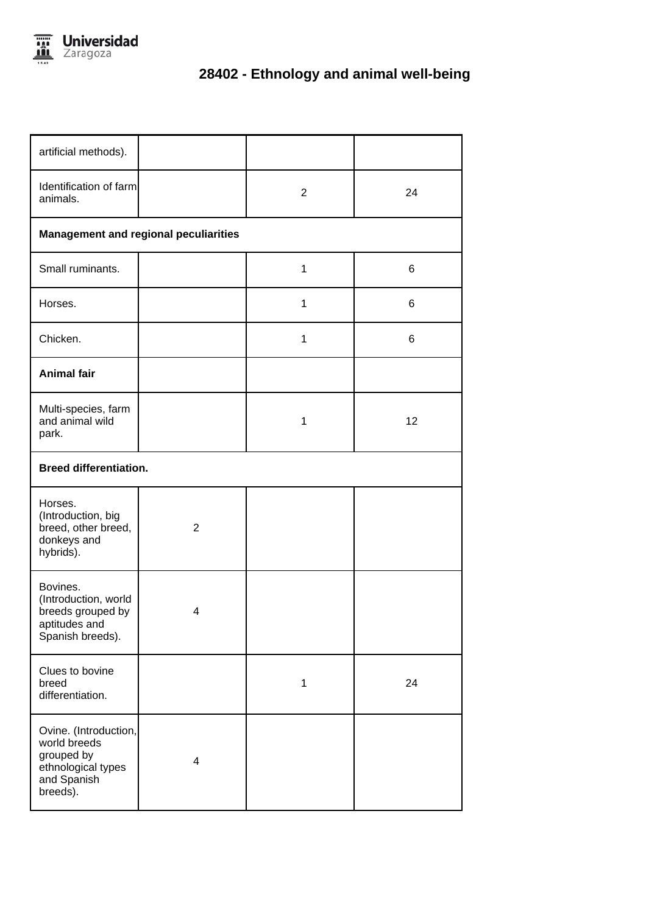

| artificial methods).                                                                                 |                                              |                |    |  |
|------------------------------------------------------------------------------------------------------|----------------------------------------------|----------------|----|--|
| Identification of farm<br>animals.                                                                   |                                              | $\overline{2}$ | 24 |  |
|                                                                                                      | <b>Management and regional peculiarities</b> |                |    |  |
| Small ruminants.                                                                                     |                                              | $\mathbf{1}$   | 6  |  |
| Horses.                                                                                              |                                              | 1              | 6  |  |
| Chicken.                                                                                             |                                              | $\mathbf{1}$   | 6  |  |
| <b>Animal fair</b>                                                                                   |                                              |                |    |  |
| Multi-species, farm<br>and animal wild<br>park.                                                      |                                              | 1              | 12 |  |
|                                                                                                      | <b>Breed differentiation.</b>                |                |    |  |
| Horses.<br>(Introduction, big<br>breed, other breed,<br>donkeys and<br>hybrids).                     | $\overline{2}$                               |                |    |  |
| Bovines.<br>(Introduction, world<br>breeds grouped by<br>aptitudes and<br>Spanish breeds).           | 4                                            |                |    |  |
| Clues to bovine<br>breed<br>differentiation.                                                         |                                              | $\mathbf 1$    | 24 |  |
| Ovine. (Introduction,<br>world breeds<br>grouped by<br>ethnological types<br>and Spanish<br>breeds). | 4                                            |                |    |  |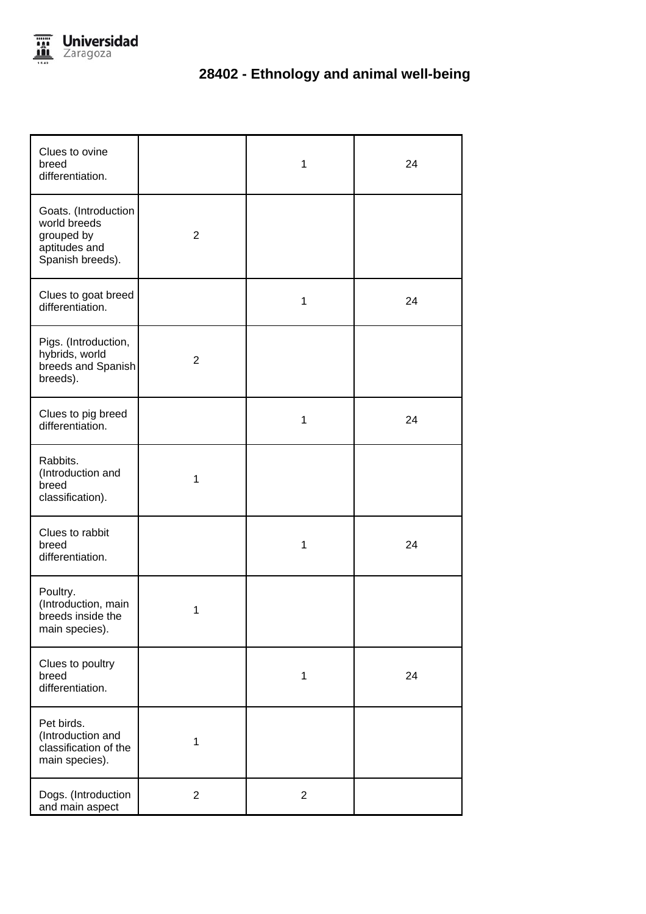

| Clues to ovine<br>breed<br>differentiation.                                             |                | 1              | 24 |
|-----------------------------------------------------------------------------------------|----------------|----------------|----|
| Goats. (Introduction<br>world breeds<br>grouped by<br>aptitudes and<br>Spanish breeds). | $\overline{2}$ |                |    |
| Clues to goat breed<br>differentiation.                                                 |                | 1              | 24 |
| Pigs. (Introduction,<br>hybrids, world<br>breeds and Spanish<br>breeds).                | $\overline{2}$ |                |    |
| Clues to pig breed<br>differentiation.                                                  |                | 1              | 24 |
| Rabbits.<br>(Introduction and<br>breed<br>classification).                              | 1              |                |    |
| Clues to rabbit<br>breed<br>differentiation.                                            |                | 1              | 24 |
| Poultry.<br>(Introduction, main<br>breeds inside the<br>main species).                  | 1              |                |    |
| Clues to poultry<br>breed<br>differentiation.                                           |                | 1              | 24 |
| Pet birds.<br>(Introduction and<br>classification of the<br>main species).              | 1              |                |    |
| Dogs. (Introduction<br>and main aspect                                                  | $\overline{2}$ | $\overline{2}$ |    |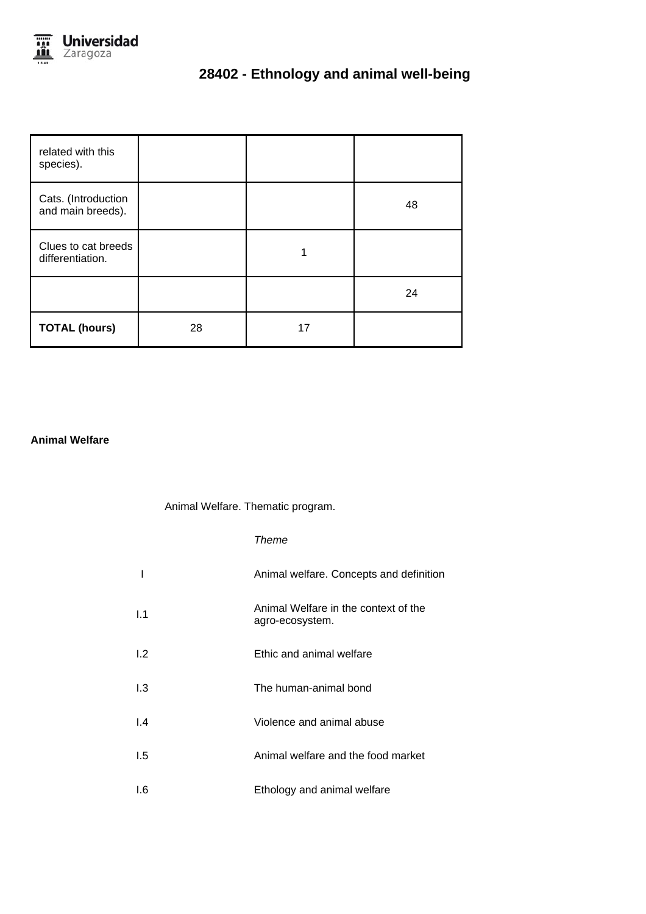

| related with this<br>species).           |    |    |    |
|------------------------------------------|----|----|----|
| Cats. (Introduction<br>and main breeds). |    |    | 48 |
| Clues to cat breeds<br>differentiation.  |    | 1  |    |
|                                          |    |    | 24 |
| <b>TOTAL (hours)</b>                     | 28 | 17 |    |

### **Animal Welfare**

#### Animal Welfare. Thematic program.

#### Theme

|               | Animal welfare. Concepts and definition                 |
|---------------|---------------------------------------------------------|
| 1.1           | Animal Welfare in the context of the<br>agro-ecosystem. |
| 1.2           | Ethic and animal welfare                                |
| 1.3           | The human-animal bond                                   |
| $\mathsf{I}4$ | Violence and animal abuse                               |
| 1.5           | Animal welfare and the food market                      |
| 1.6           | Ethology and animal welfare                             |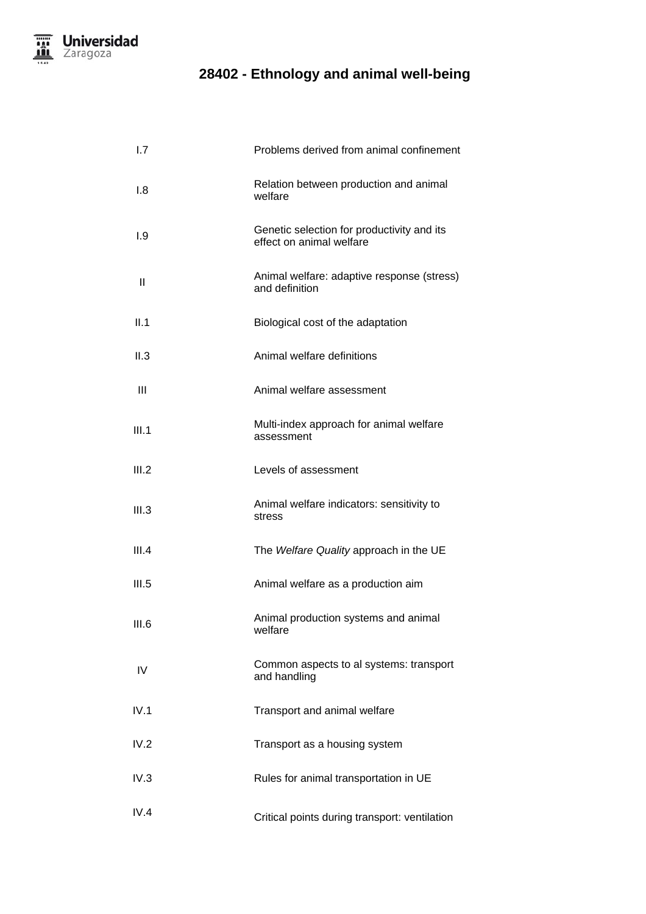| 1.7          | Problems derived from animal confinement                               |
|--------------|------------------------------------------------------------------------|
| 1.8          | Relation between production and animal<br>welfare                      |
| 1.9          | Genetic selection for productivity and its<br>effect on animal welfare |
| $\mathbf{I}$ | Animal welfare: adaptive response (stress)<br>and definition           |
| II.1         | Biological cost of the adaptation                                      |
| II.3         | Animal welfare definitions                                             |
| Ш            | Animal welfare assessment                                              |
| III.1        | Multi-index approach for animal welfare<br>assessment                  |
| III.2        | Levels of assessment                                                   |
| III.3        | Animal welfare indicators: sensitivity to<br>stress                    |
| III.4        | The Welfare Quality approach in the UE                                 |
| III.5        | Animal welfare as a production aim                                     |
| III.6        | Animal production systems and animal<br>welfare                        |
| IV           | Common aspects to al systems: transport<br>and handling                |
| IV.1         | Transport and animal welfare                                           |
| IV.2         | Transport as a housing system                                          |
| IV.3         | Rules for animal transportation in UE                                  |
| IV.4         | Critical points during transport: ventilation                          |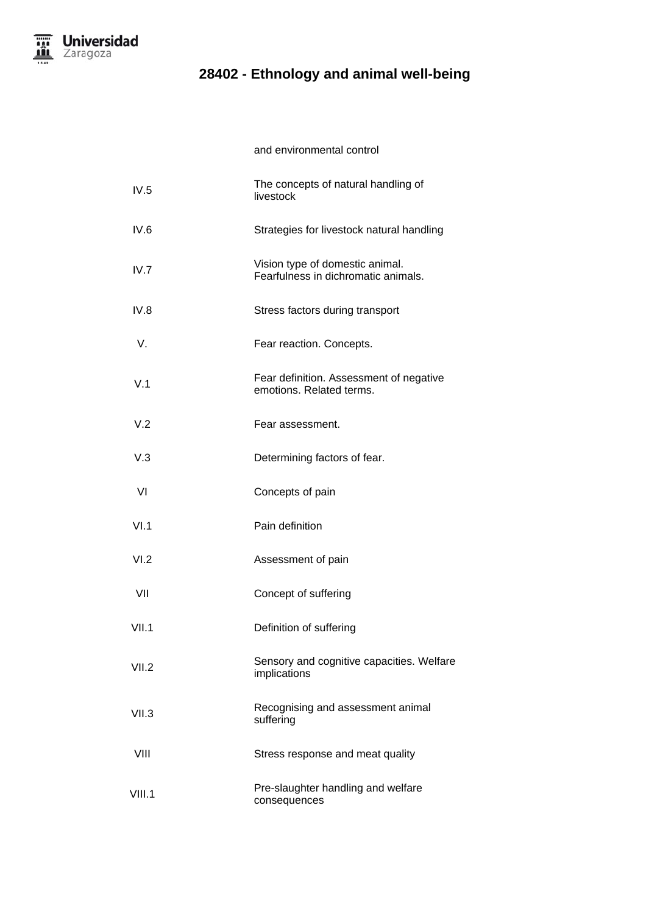

and environmental control

| IV.5   | The concepts of natural handling of<br>livestock                       |
|--------|------------------------------------------------------------------------|
| IV.6   | Strategies for livestock natural handling                              |
| IV.7   | Vision type of domestic animal.<br>Fearfulness in dichromatic animals. |
| IV.8   | Stress factors during transport                                        |
| V.     | Fear reaction. Concepts.                                               |
| V.1    | Fear definition. Assessment of negative<br>emotions. Related terms.    |
| V.2    | Fear assessment.                                                       |
| V.3    | Determining factors of fear.                                           |
| VI     | Concepts of pain                                                       |
| VI.1   | Pain definition                                                        |
| VI.2   | Assessment of pain                                                     |
| VII    | Concept of suffering                                                   |
| VII.1  | Definition of suffering                                                |
| VII.2  | Sensory and cognitive capacities. Welfare<br>implications              |
| VII.3  | Recognising and assessment animal<br>suffering                         |
| VIII   | Stress response and meat quality                                       |
| VIII.1 | Pre-slaughter handling and welfare<br>consequences                     |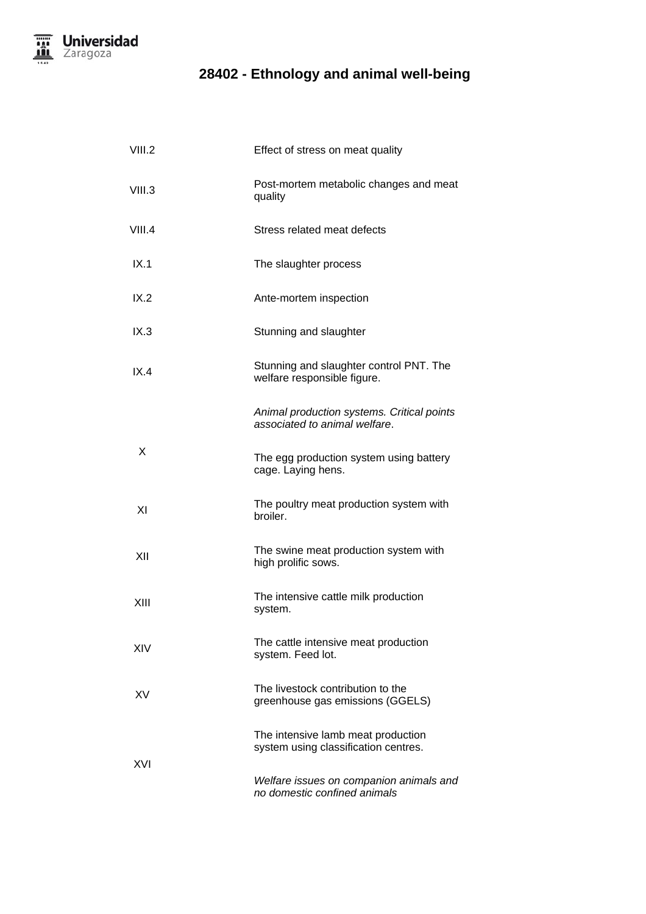

| VIII.2 | Effect of stress on meat quality                                            |
|--------|-----------------------------------------------------------------------------|
| VIII.3 | Post-mortem metabolic changes and meat<br>quality                           |
| VIII.4 | Stress related meat defects                                                 |
| IX.1   | The slaughter process                                                       |
| IX.2   | Ante-mortem inspection                                                      |
| IX.3   | Stunning and slaughter                                                      |
| IX.4   | Stunning and slaughter control PNT. The<br>welfare responsible figure.      |
|        | Animal production systems. Critical points<br>associated to animal welfare. |
| X      | The egg production system using battery<br>cage. Laying hens.               |
| XI     | The poultry meat production system with<br>broiler.                         |
| XII    | The swine meat production system with<br>high prolific sows.                |
| XIII   | The intensive cattle milk production<br>system.                             |
| XIV    | The cattle intensive meat production<br>system. Feed lot.                   |
| XV     | The livestock contribution to the<br>greenhouse gas emissions (GGELS)       |
|        | The intensive lamb meat production<br>system using classification centres.  |
| XVI    | Welfare issues on companion animals and<br>no domestic confined animals     |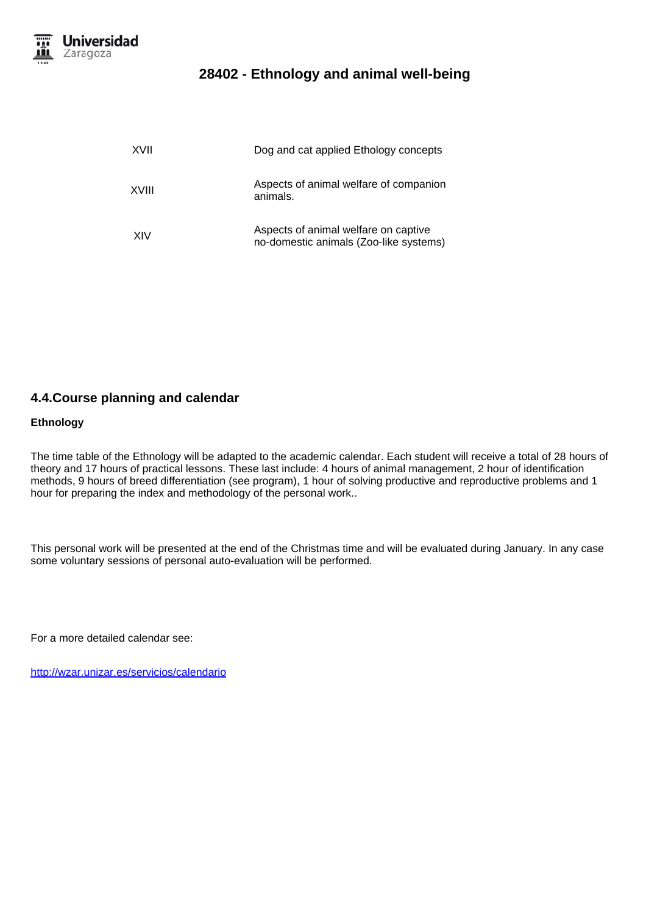

| XVII  | Dog and cat applied Ethology concepts                                          |
|-------|--------------------------------------------------------------------------------|
| XVIII | Aspects of animal welfare of companion<br>animals.                             |
| XIV   | Aspects of animal welfare on captive<br>no-domestic animals (Zoo-like systems) |

### **4.4.Course planning and calendar**

#### **Ethnology**

The time table of the Ethnology will be adapted to the academic calendar. Each student will receive a total of 28 hours of theory and 17 hours of practical lessons. These last include: 4 hours of animal management, 2 hour of identification methods, 9 hours of breed differentiation (see program), 1 hour of solving productive and reproductive problems and 1 hour for preparing the index and methodology of the personal work..

This personal work will be presented at the end of the Christmas time and will be evaluated during January. In any case some voluntary sessions of personal auto-evaluation will be performed.

For a more detailed calendar see:

http://wzar.unizar.es/servicios/calendario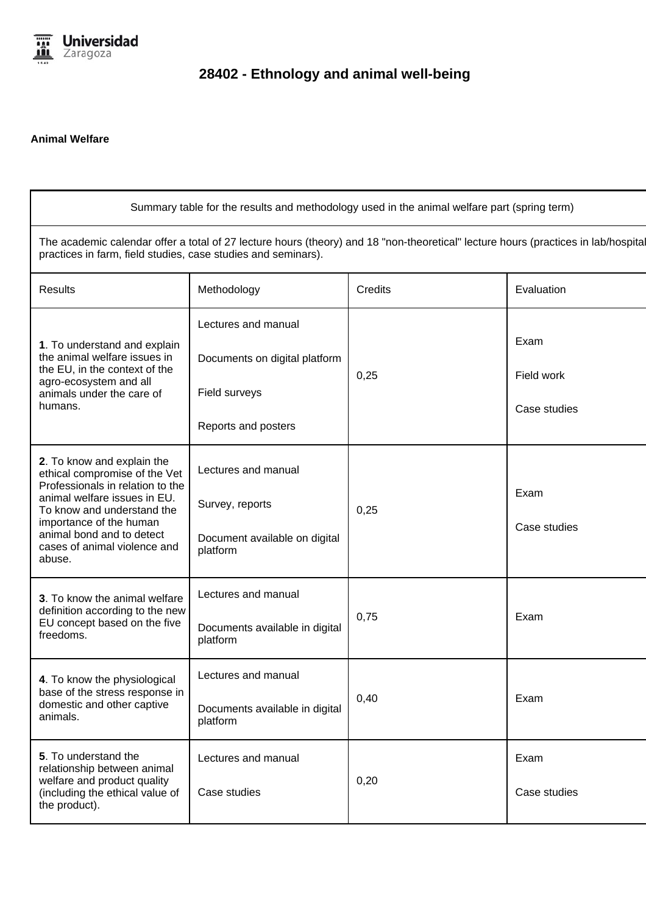

### **Animal Welfare**

| Summary table for the results and methodology used in the animal welfare part (spring term)                                                                                                         |                                            |                |              |
|-----------------------------------------------------------------------------------------------------------------------------------------------------------------------------------------------------|--------------------------------------------|----------------|--------------|
| The academic calendar offer a total of 27 lecture hours (theory) and 18 "non-theoretical" lecture hours (practices in lab/hospital<br>practices in farm, field studies, case studies and seminars). |                                            |                |              |
| <b>Results</b>                                                                                                                                                                                      | Methodology                                | <b>Credits</b> | Evaluation   |
|                                                                                                                                                                                                     | Lectures and manual                        |                |              |
| 1. To understand and explain<br>the animal welfare issues in<br>the EU, in the context of the                                                                                                       | Documents on digital platform              |                | Exam         |
| agro-ecosystem and all<br>animals under the care of                                                                                                                                                 | Field surveys                              | 0,25           | Field work   |
| humans.                                                                                                                                                                                             | Reports and posters                        |                | Case studies |
| 2. To know and explain the<br>ethical compromise of the Vet                                                                                                                                         | Lectures and manual                        |                |              |
| Professionals in relation to the<br>animal welfare issues in EU.<br>To know and understand the                                                                                                      | Survey, reports                            | 0,25           | Exam         |
| importance of the human<br>animal bond and to detect<br>cases of animal violence and<br>abuse.                                                                                                      | Document available on digital<br>platform  |                | Case studies |
| 3. To know the animal welfare                                                                                                                                                                       | Lectures and manual                        |                |              |
| definition according to the new<br>EU concept based on the five<br>freedoms.                                                                                                                        | Documents available in digital<br>platform | 0,75           | Exam         |
| 4. To know the physiological                                                                                                                                                                        | Lectures and manual                        |                |              |
| base of the stress response in<br>domestic and other captive<br>animals.                                                                                                                            | Documents available in digital<br>platform | 0,40           | Exam         |
| 5. To understand the<br>relationship between animal                                                                                                                                                 | Lectures and manual                        |                | Exam         |
| welfare and product quality<br>(including the ethical value of<br>the product).                                                                                                                     | Case studies                               | 0,20           | Case studies |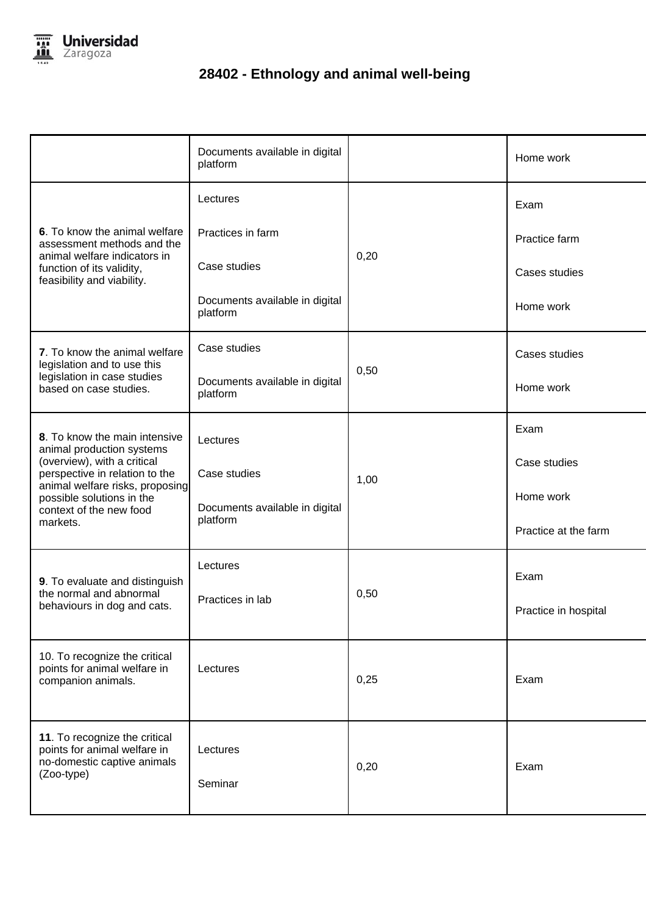

| Documents available in digital<br>platform                        |      | Home work            |
|-------------------------------------------------------------------|------|----------------------|
| Lectures                                                          |      | Exam                 |
| Practices in farm                                                 | 0,20 | Practice farm        |
| Case studies                                                      |      | Cases studies        |
| Documents available in digital<br>platform                        |      | Home work            |
| Case studies                                                      |      | Cases studies        |
| Documents available in digital<br>platform                        |      | Home work            |
| Lectures                                                          |      | Exam                 |
| Case studies                                                      |      | Case studies         |
| animal welfare risks, proposing<br>Documents available in digital |      | Home work            |
| platform                                                          |      | Practice at the farm |
| Lectures                                                          |      | Exam                 |
| Practices in lab                                                  | 0,50 | Practice in hospital |
| Lectures                                                          | 0,25 | Exam                 |
| Lectures<br>Seminar                                               | 0,20 | Exam                 |
|                                                                   |      | 0,50<br>1,00         |